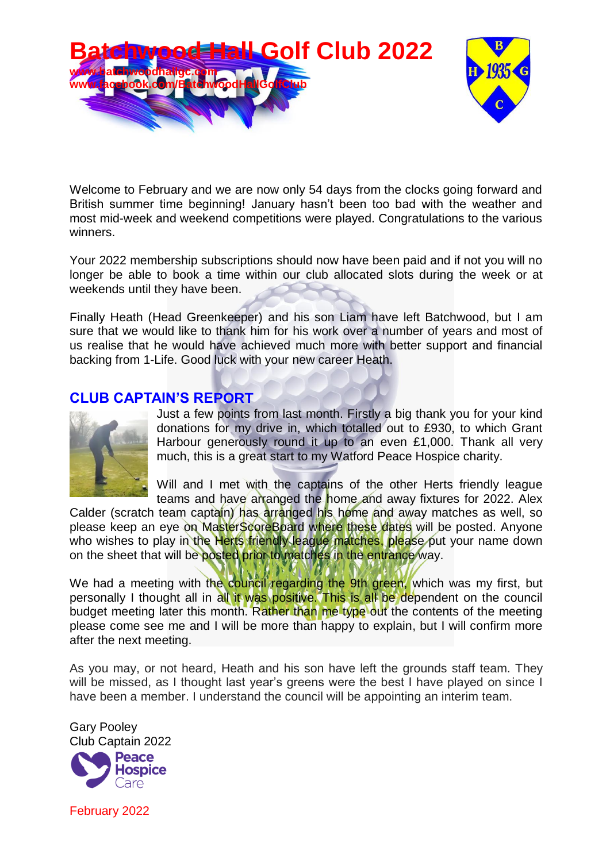

Welcome to February and we are now only 54 days from the clocks going forward and British summer time beginning! January hasn't been too bad with the weather and most mid-week and weekend competitions were played. Congratulations to the various winners.

Your 2022 membership subscriptions should now have been paid and if not you will no longer be able to book a time within our club allocated slots during the week or at weekends until they have been.

Finally Heath (Head Greenkeeper) and his son Liam have left Batchwood, but I am sure that we would like to thank him for his work over a number of years and most of us realise that he would have achieved much more with better support and financial backing from 1-Life. Good luck with your new career Heath.

#### **CLUB CAPTAIN'S REPORT**



Just a few points from last month. Firstly a big thank you for your kind donations for my drive in, which totalled out to £930, to which Grant Harbour generously round it up to an even £1,000. Thank all very much, this is a great start to my Watford Peace Hospice charity.

Will and I met with the captains of the other Herts friendly league teams and have arranged the home and away fixtures for 2022. Alex

Calder (scratch team captain) has arranged his home and away matches as well, so please keep an eye on MasterScoreBoard where these dates will be posted. Anyone who wishes to play in the Herts friendly league matches, please put your name down on the sheet that will be posted prior to matches in the entrance way.

We had a meeting with the council regarding the 9th green, which was my first, but personally I thought all in all it was positive. This is all be dependent on the council budget meeting later this month. Rather than me type out the contents of the meeting please come see me and I will be more than happy to explain, but I will confirm more after the next meeting.

As you may, or not heard, Heath and his son have left the grounds staff team. They will be missed, as I thought last year's greens were the best I have played on since I have been a member. I understand the council will be appointing an interim team.

Gary Pooley Club Captain 2022**Peace** 



February 2022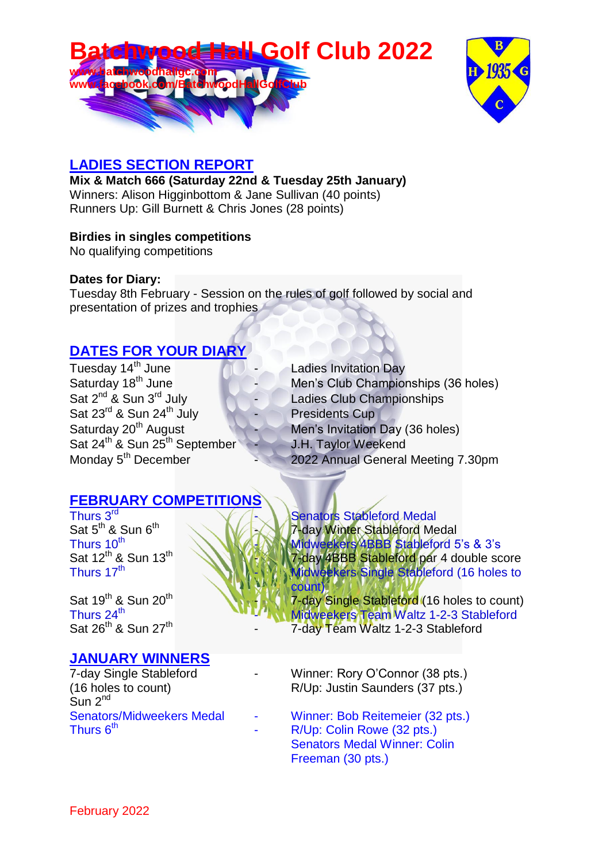



#### **LADIES SECTION REPORT**

**Mix & Match 666 (Saturday 22nd & Tuesday 25th January)** Winners: Alison Higginbottom & Jane Sullivan (40 points) Runners Up: Gill Burnett & Chris Jones (28 points)

#### **Birdies in singles competitions**

No qualifying competitions

#### **Dates for Diary:**

Tuesday 8th February - Session on the rules of golf followed by social and presentation of prizes and trophies

## **DATES FOR YOUR DIARY**

Tuesday 14<sup>th</sup> June **19th June 19th Ladies Invitation Day**<br>
Saturday 18<sup>th</sup> June Men's Club Champion Saturday  $18^{th}$  June  $\begin{array}{ccc} 1 & - & \end{array}$  Men's Club Championships (36 holes)<br>Sat  $2^{nd}$  & Sun  $3^{rd}$  July  $\begin{array}{ccc} 1 & - & \end{array}$  Ladies Club Championships Sat  $23^{rd}$  & Sun  $24^{th}$  July Presidents Cup Saturday 20<sup>th</sup> August Men's Invitation Day (36 holes) Sat 24<sup>th</sup> & Sun 25<sup>th</sup> September J.H. Taylor Weekend

### **FEBRUARY COMPETITIONS**

Thurs 3<sup>rd</sup> Sat  $5^{\text{th}}$  & Sun  $6^{\text{th}}$ Thurs 10<sup>th</sup> Sat 12<sup>th</sup> & Sun 13<sup>th</sup> Thurs 17<sup>th</sup>

Sat 19<sup>th</sup> & Sun 20<sup>th</sup> Thurs 24 $^{\rm th}$ Sat 26<sup>th</sup> & Sun 27<sup>th</sup>

### **JANUARY WINNERS**

Sun 2<sup>nd</sup> Thurs  $6<sup>th</sup>$ 

- 
- 
- Ladies Club Championships
- 
- 
- 
- Monday 5<sup>th</sup> December 2022 Annual General Meeting 7.30pm

Senators Stableford Medal 7-day Winter Stableford Medal - Midweekers 4BBB Stableford 5's & 3's **TX IN7-day 4BBB Stableford par 4 double score** Midweekers Single Stableford (16 holes to count)

7-day Single Stableford (16 holes to count) Midweekers Team Waltz 1-2-3 Stableford

- 7-day Team Waltz 1-2-3 Stableford
- 7-day Single Stableford  **Winner: Rory O'Connor (38 pts.)** (16 holes to count) R/Up: Justin Saunders (37 pts.)
- Senators/Midweekers Medal Winner: Bob Reitemeier (32 pts.) R/Up: Colin Rowe (32 pts.) Senators Medal Winner: Colin Freeman (30 pts.)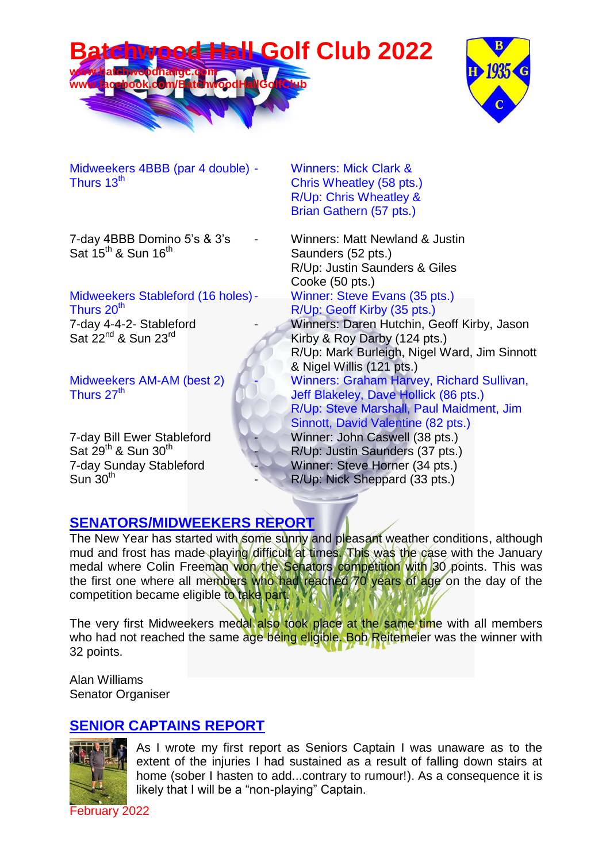



Midweekers 4BBB (par 4 double) - Winners: Mick Clark & Thurs 13<sup>th</sup> Chris Wheatley (58 pts.)

Sat  $15^{th}$  & Sun  $16^{th}$  Saunders (52 pts.)

# Midweekers Stableford (16 holes) - Winner: Steve Evans (35 pts.)<br>Thurs 20<sup>th</sup> R/Up: Geoff Kirby (35 pts.)

7-day 4-4-2- Stableford - Winners: Daren Hutchin, Geoff Kirby, Jason

Sat  $29^{th}$  & Sun  $30^{th}$  $Sun$  30<sup>th</sup>

R/Up: Chris Wheatley & Brian Gathern (57 pts.)

7-day 4BBB Domino 5's & 3's - Winners: Matt Newland & Justin R/Up: Justin Saunders & Giles Cooke (50 pts.)

R/Up: Geoff Kirby (35 pts.)

Sat  $22^{nd}$  & Sun  $23^{rd}$  Kirby & Roy Darby (124 pts.) R/Up: Mark Burleigh, Nigel Ward, Jim Sinnott & Nigel Willis (121 pts.) Midweekers AM-AM (best 2)  $\begin{matrix} 1 & 1 \end{matrix}$  Winners: Graham Harvey, Richard Sullivan, Thurs 27<sup>th</sup> Jeff Blakeley, Dave Hollick (86 pts.) R/Up: Steve Marshall, Paul Maidment, Jim Sinnott, David Valentine (82 pts.) 7-day Bill Ewer Stableford Winner: John Caswell (38 pts.) R/Up: Justin Saunders (37 pts.) 7-day Sunday Stableford Winner: Steve Horner (34 pts.) R/Up: Nick Sheppard (33 pts.)

### **SENATORS/MIDWEEKERS REPORT**

The New Year has started with some sunny and pleasant weather conditions, although mud and frost has made playing difficult at times. This was the case with the January medal where Colin Freeman won the Senators competition with 30 points. This was the first one where all members who had reached 70 years of age on the day of the competition became eligible to take part.

The very first Midweekers medal also took place at the same time with all members who had not reached the same age being eligible. Bob Reitemeier was the winner with 32 points.

Alan Williams Senator Organiser

## **SENIOR CAPTAINS REPORT**



As I wrote my first report as Seniors Captain I was unaware as to the extent of the injuries I had sustained as a result of falling down stairs at home (sober I hasten to add...contrary to rumour!). As a consequence it is likely that I will be a "non-playing" Captain.

February 2022